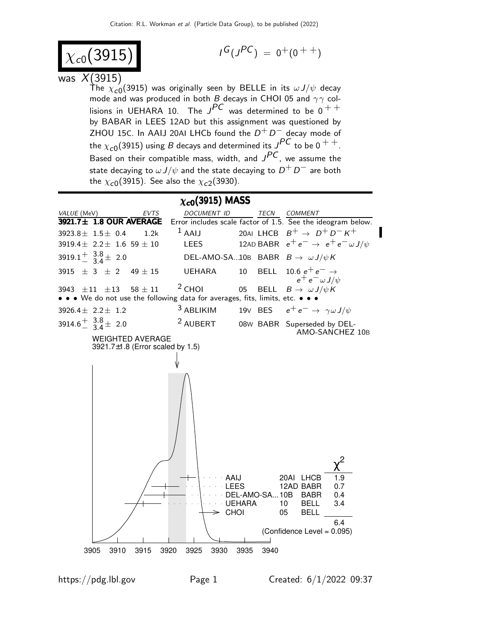$$
\chi_{c0}(3915)
$$

$$
I^G(J^{PC})\ =\ 0^+(0\ ^{++})
$$

## was  $X(3915)$

The  $\chi_{\bf c 0}(3915)$  was originally seen by BELLE in its  $\omega J/\psi$  decay mode and was produced in both B decays in CHOI 05 and  $\gamma\gamma$  collisions in UEHARA 10. The  $J^{PC}$  was determined to be  $0^{++}$ by BABAR in LEES 12AD but this assignment was questioned by  $ZHOU$  15C. In AAIJ 20AI LHCb found the  $D^+D^-$  decay mode of the  $\chi_{c0}$ (3915) using B decays and determined its  $J^{PC}$  to be 0 <sup>+ +</sup>. Based on their compatible mass, width, and  $J^{PC}$ , we assume the state decaying to  $\omega J/\psi$  and the state decaying to  $D^+$   $D^-$  are both the  $\chi_{\bm{c} \bm{0}}(3915)$ . See also the  $\chi_{\bm{c} \bm{2}}(3930)$ .

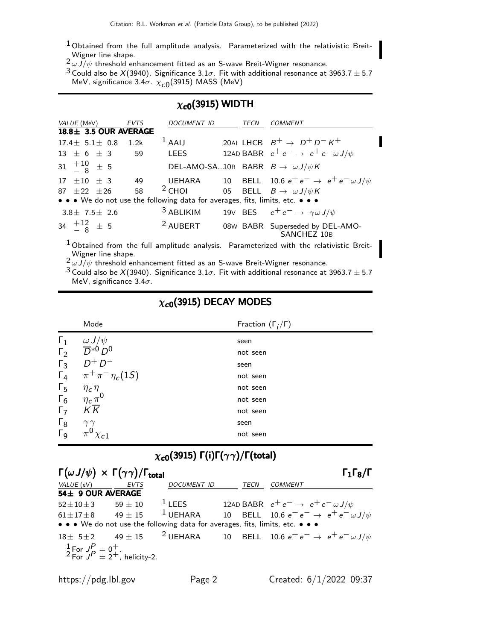- $1$  Obtained from the full amplitude analysis. Parameterized with the relativistic Breit-Wigner line shape.<br> $\frac{2}{\omega} \frac{U}{\psi}$  threshold enhancement fitted as an S-wave Breit-Wigner resonance.
- 

 $^3$  Could also be  $X(3940)$ . Significance  $3.1\sigma$ . Fit with additional resonance at 3963.7  $\pm$  5.7 MeV, significance 3.4 $\sigma$ .  $\chi_{\mathcal{C} 0}(3915)$  MASS (MeV)

## $\chi_{c0}$ (3915) WIDTH

| <i>VALUE</i> (MeV)                                                            | <b>EVTS</b> | DOCUMENT ID                                | TECN | <i>COMMENT</i>                                                                                     |
|-------------------------------------------------------------------------------|-------------|--------------------------------------------|------|----------------------------------------------------------------------------------------------------|
| 18.8 ± 3.5 OUR AVERAGE                                                        |             |                                            |      |                                                                                                    |
| $17.4 \pm 5.1 \pm 0.8$                                                        | 1.2k        | $1$ AAIJ                                   |      | 20AI LHCB $B^+ \rightarrow D^+D^-K^+$                                                              |
| $13 \pm 6 \pm 3$                                                              | - 59        | <b>LEES</b>                                |      | 12AD BABR $e^+e^- \rightarrow e^+e^- \omega J/\psi$                                                |
| $31 \quad {}^{+10}_{-8} \quad \pm \quad 5$                                    |             | DEL-AMO-SA10B BABR $B \to \omega J/\psi K$ |      |                                                                                                    |
| 17 $\pm 10$ $\pm$ 3                                                           | - 49        |                                            |      | UEHARA 10 BELL 10.6 $e^+e^- \rightarrow e^+e^- \omega J/\psi$                                      |
| $87 + 22 + 26$                                                                | 58          | $2$ CHOI                                   |      | 05 BELL $B \to \omega J/\psi K$                                                                    |
| • • • We do not use the following data for averages, fits, limits, etc. • • • |             |                                            |      |                                                                                                    |
| $3.8 \pm 7.5 \pm 2.6$                                                         |             |                                            |      | <sup>3</sup> ABLIKIM 19V BES $e^+e^- \rightarrow \gamma \omega J/\psi$                             |
| 34 $\frac{+12}{-8}$ $\pm$ 5                                                   |             | <sup>2</sup> AUBERT                        |      | 08W BABR Superseded by DEL-AMO-<br>SANCHEZ 10B                                                     |
|                                                                               |             |                                            |      | <sup>1</sup> Obtained from the full amplitude analysis. Parameterized with the relativistic Breit- |

Wigner line shape.<br> $^2 \omega J/\psi$  threshold enhancement fitted as an S-wave Breit-Wigner resonance.

 $3$  Could also be  $X(3940)$ . Significance  $3.1\sigma$ . Fit with additional resonance at 3963.7  $\pm$  5.7 MeV, significance  $3.4\sigma$ .

## $\chi_{c0}$ (3915) DECAY MODES

|                       | Mode                         | Fraction $(\Gamma_i/\Gamma)$ |
|-----------------------|------------------------------|------------------------------|
| $\Gamma_1$            | $\omega J/\psi$              | seen                         |
| $\Gamma_2$            | $\overline{D}^{*0}D^0$       | not seen                     |
| $\Gamma_3$            | $D^+D^-$                     | seen                         |
| $\Gamma_4$            | $\pi^{+}\pi^{-}\eta_{c}(1S)$ | not seen                     |
| $\Gamma_5$            | $\eta_c \eta$                | not seen                     |
| $\Gamma_6$            | $\eta_c \pi^0$               | not seen                     |
| $\Gamma_7$            | $K\overline{K}$              | not seen                     |
| $\Gamma_8$            |                              | seen                         |
| $\Gamma$ <sub>9</sub> | π                            | not seen                     |

# $\chi_{c0}(3915)$  Γ(i)Γ $(\gamma\gamma)/$ Γ(total)

| $\Gamma(\omega J/\psi) \times \Gamma(\gamma \gamma) / \Gamma_{\text{total}}$ |                                                                           |                                                                               |      | $\Gamma_1\Gamma_8/\Gamma$                                                                             |
|------------------------------------------------------------------------------|---------------------------------------------------------------------------|-------------------------------------------------------------------------------|------|-------------------------------------------------------------------------------------------------------|
| VALUE (eV) EVTS                                                              |                                                                           | DOCUMENT ID                                                                   | TECN | <b>COMMENT</b>                                                                                        |
| 54± 9 OUR AVERAGE                                                            |                                                                           |                                                                               |      |                                                                                                       |
|                                                                              |                                                                           |                                                                               |      | 52±10±3 59 ± 10 <sup>1</sup> LEES 12AD BABR $e^+e^- \to e^+e^- \omega J/\psi$                         |
| $61 \pm 17 \pm 8$ 49 $\pm$ 15                                                |                                                                           |                                                                               |      | <sup>1</sup> UEHARA 10 BELL 10.6 $e^+e^- \rightarrow e^+e^- \omega J/\psi$                            |
|                                                                              |                                                                           | • • • We do not use the following data for averages, fits, limits, etc. • • • |      |                                                                                                       |
|                                                                              |                                                                           |                                                                               |      | $18\pm 5\pm 2$ 49 $\pm 15$ <sup>2</sup> UEHARA 10 BELL 10.6 $e^+e^- \rightarrow e^+e^- \omega J/\psi$ |
|                                                                              | $\frac{1}{2}$ For $J_P^P = 0^+$ .<br>$^2$ For $J_P^P = 2^+$ , helicity-2. |                                                                               |      |                                                                                                       |
|                                                                              |                                                                           |                                                                               |      |                                                                                                       |
|                                                                              |                                                                           |                                                                               |      |                                                                                                       |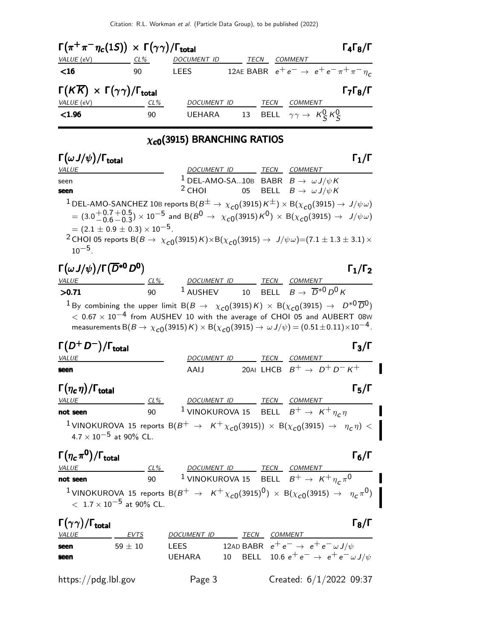

## $\chi_{c0}$ (3915) BRANCHING RATIOS

| $\Gamma(\omega J/\psi)/\Gamma_{\rm total}$                                                                                                                                                                                                                                                                                                                                                                                                                                                                      |             |      |                                                         | $\mathsf{\Gamma}_1/\mathsf{\Gamma}$ |
|-----------------------------------------------------------------------------------------------------------------------------------------------------------------------------------------------------------------------------------------------------------------------------------------------------------------------------------------------------------------------------------------------------------------------------------------------------------------------------------------------------------------|-------------|------|---------------------------------------------------------|-------------------------------------|
| <i>VALUE</i>                                                                                                                                                                                                                                                                                                                                                                                                                                                                                                    | DOCUMENT ID | TECN | COMMENT                                                 |                                     |
| seen                                                                                                                                                                                                                                                                                                                                                                                                                                                                                                            |             |      | <sup>1</sup> DEL-AMO-SA10B BABR $B \to \omega J/\psi K$ |                                     |
| seen                                                                                                                                                                                                                                                                                                                                                                                                                                                                                                            | $2$ CHOI    |      | 05 BELL $B \to \omega J/\psi K$                         |                                     |
| <sup>1</sup> DEL-AMO-SANCHEZ 10B reports B( $B^{\pm} \to \chi_{c0}(3915) K^{\pm}$ ) × B( $\chi_{c0}(3915) \to J/\psi \omega$ )<br>$= (3.0\frac{+0.7+0.5}{-0.6-0.3}) \times 10^{-5}$ and B( $B^0 \rightarrow \chi_{c0}(3915) K^0$ ) $\times$ B( $\chi_{c0}(3915) \rightarrow J/\psi \omega$ )<br>$= (2.1 \pm 0.9 \pm 0.3) \times 10^{-5}$ .<br><sup>2</sup> CHOI 05 reports B(B $\rightarrow \chi_{c0}(3915) K) \times B(\chi_{c0}(3915) \rightarrow J/\psi \omega) = (7.1 \pm 1.3 \pm 3.1) \times$<br>$10^{-5}$ |             |      |                                                         |                                     |

### $\Gamma(\omega J/\psi)/\Gamma(\overline{D}^{*0}D^0)$   $\Gamma_1/\Gamma_2$ ) Γ $_1$ /Γ VALUE CL% DOCUMENT ID TECN COMMENT  $\frac{ULUE}{D}$   $\frac{CL\%}{90}$   $\frac{DOCUMENT ID}{1 \text{ AUSHEV}}$   $\frac{TECN}{10}$   $\frac{COMMENT}{B \to D*^0 D^0 K}$

 $1\,\text{By combining the upper limit } B(B \to \chi_{c0}(3915)K) \times B(\chi_{c0}(3915) \to D^{*0}\overline{D}{}^0)$  $< 0.67 \times 10^{-4}$  from AUSHEV 10 with the average of CHOI 05 and AUBERT 08W measurements B( $B \to \chi_{c0}(3915)K) \times B(\chi_{c0}(3915) \to \omega J/\psi) = (0.51 \pm 0.11) \times 10^{-4}$ .

| $\Gamma(D^+D^-)/\Gamma_{\rm total}$ |                    |      | $\Gamma_3/\Gamma$                     |
|-------------------------------------|--------------------|------|---------------------------------------|
| <i>VALUE</i>                        | <i>DOCUMENT ID</i> | TECN | COMMENT                               |
| seen                                | AAIJ               |      | 20AI LHCB $B^+ \rightarrow D^+D^-K^+$ |

## $\Gamma(\eta_c \eta) / \Gamma_{\text{total}}$  Γ<sub>5</sub>/Γ

| <i>VALUE</i>                    | $CL\%$ | DOCUMENT ID |  | TECN | COMMENT                                                                                                        |  |
|---------------------------------|--------|-------------|--|------|----------------------------------------------------------------------------------------------------------------|--|
| not seen                        | 90     |             |  |      | <sup>1</sup> VINOKUROVA 15 BELL $B^+ \rightarrow K^+ \eta_c \eta$                                              |  |
| $4.7 \times 10^{-5}$ at 90% CL. |        |             |  |      | <sup>1</sup> VINOKUROVA 15 reports B $(B^+ \to K^+ \chi_{c0}(3915)) \times B(\chi_{c0}(3915) \to \eta_c \eta)$ |  |

## Γ $(\eta_c \pi^0)/\Gamma_{\rm total}$  Γ<sub>6</sub>/Γ )/Γ<sub>total</sub> Γ<sub>6</sub>/Γ VALUE CL% DOCUMENT ID TECN COMMENT not seen  $90$   $^{-1}$  VINOKUROVA 15  $B^+ \rightarrow K^+ \eta_c \pi^0$

 $^1$ VINOKUROVA 15 reports B $(B^+ \to K^+ \chi_{c0} (3915)^0 ) \times$  B $(\chi_{c0} (3915) \to \eta_c \pi^0 )$  $<$  1.7  $\times$  10<sup>-5</sup> at 90% CL.

| $\Gamma(\gamma\gamma)/\Gamma_{\rm total}$ |             |               |      | $\Gamma_8/\Gamma$                                   |
|-------------------------------------------|-------------|---------------|------|-----------------------------------------------------|
| <i>VALUE</i>                              | EVTS        | DOCUMENT ID   | TECN | <i>COMMENT</i>                                      |
| seen                                      | $59 \pm 10$ | LEES          |      | 12AD BABR $e^+e^- \rightarrow e^+e^- \omega J/\psi$ |
| seen                                      |             | <b>UEHARA</b> |      | 10 BELL 10.6 $e^+e^- \to e^+e^- \omega J/\psi$      |
|                                           |             |               |      |                                                     |
| https://pdg.lbl.gov                       |             | Page 3        |      | Created: 6/1/2022 09:37                             |